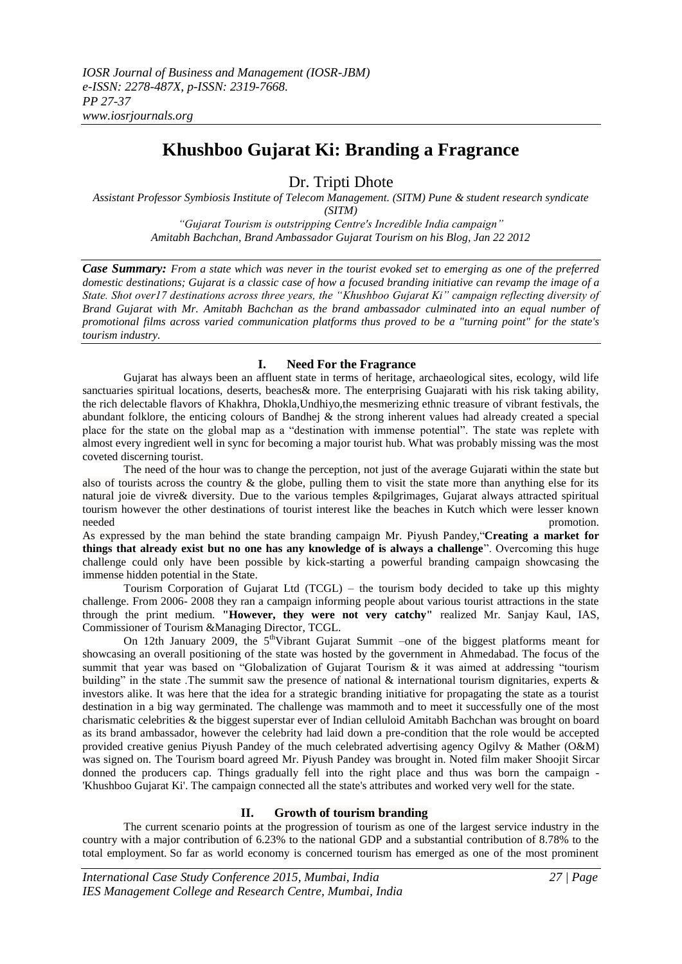# **Khushboo Gujarat Ki: Branding a Fragrance**

Dr. Tripti Dhote

*Assistant Professor Symbiosis Institute of Telecom Management. (SITM) Pune & student research syndicate (SITM) "Gujarat Tourism is outstripping Centre's Incredible India campaign" Amitabh Bachchan, Brand Ambassador Gujarat Tourism on his Blog, Jan 22 2012*

*Case Summary: From a state which was never in the tourist evoked set to emerging as one of the preferred domestic destinations; Gujarat is a classic case of how a focused branding initiative can revamp the image of a State. Shot over17 destinations across three years, the "Khushboo Gujarat Ki" campaign reflecting diversity of Brand Gujarat with Mr. Amitabh Bachchan as the brand ambassador culminated into an equal number of promotional films across varied communication platforms thus proved to be a "turning point" for the state's tourism industry.*

# **I. Need For the Fragrance**

Gujarat has always been an affluent state in terms of heritage, archaeological sites, ecology, wild life sanctuaries spiritual locations, deserts, beaches& more. The enterprising Guajarati with his risk taking ability, the rich delectable flavors of Khakhra, Dhokla,Undhiyo,the mesmerizing ethnic treasure of vibrant festivals, the abundant folklore, the enticing colours of Bandhej & the strong inherent values had already created a special place for the state on the global map as a "destination with immense potential". The state was replete with almost every ingredient well in sync for becoming a major tourist hub. What was probably missing was the most coveted discerning tourist.

The need of the hour was to change the perception, not just of the average Gujarati within the state but also of tourists across the country  $\&$  the globe, pulling them to visit the state more than anything else for its natural joie de vivre& diversity. Due to the various temples &pilgrimages, Gujarat always attracted spiritual tourism however the other destinations of tourist interest like the beaches in Kutch which were lesser known needed promotion.

As expressed by the man behind the state branding campaign Mr. Piyush Pandey, "Creating a market for **things that already exist but no one has any knowledge of is always a challenge**‖. Overcoming this huge challenge could only have been possible by kick-starting a powerful branding campaign showcasing the immense hidden potential in the State.

Tourism Corporation of Gujarat Ltd (TCGL) – the tourism body decided to take up this mighty challenge. From 2006- 2008 they ran a campaign informing people about various tourist attractions in the state through the print medium. **"However, they were not very catchy"** realized Mr. Sanjay Kaul, IAS, Commissioner of Tourism &Managing Director, TCGL.

On 12th January 2009, the  $5<sup>th</sup>$ Vibrant Gujarat Summit –one of the biggest platforms meant for showcasing an overall positioning of the state was hosted by the government in Ahmedabad. The focus of the summit that year was based on "Globalization of Gujarat Tourism & it was aimed at addressing "tourism building" in the state .The summit saw the presence of national  $\&$  international tourism dignitaries, experts  $\&$ investors alike. It was here that the idea for a strategic branding initiative for propagating the state as a tourist destination in a big way germinated. The challenge was mammoth and to meet it successfully one of the most charismatic celebrities & the biggest superstar ever of Indian celluloid Amitabh Bachchan was brought on board as its brand ambassador, however the celebrity had laid down a pre-condition that the role would be accepted provided creative genius Piyush Pandey of the much celebrated advertising agency Ogilyy & Mather (O&M) was signed on. The Tourism board agreed Mr. Piyush Pandey was brought in. Noted film maker Shoojit Sircar donned the producers cap. Things gradually fell into the right place and thus was born the campaign - 'Khushboo Gujarat Ki'. The campaign connected all the state's attributes and worked very well for the state.

### **II. Growth of tourism branding**

The current scenario points at the progression of tourism as one of the largest service industry in the country with a major contribution of 6.23% to the national GDP and a substantial contribution of 8.78% to the total employment. So far as world economy is concerned tourism has emerged as one of the most prominent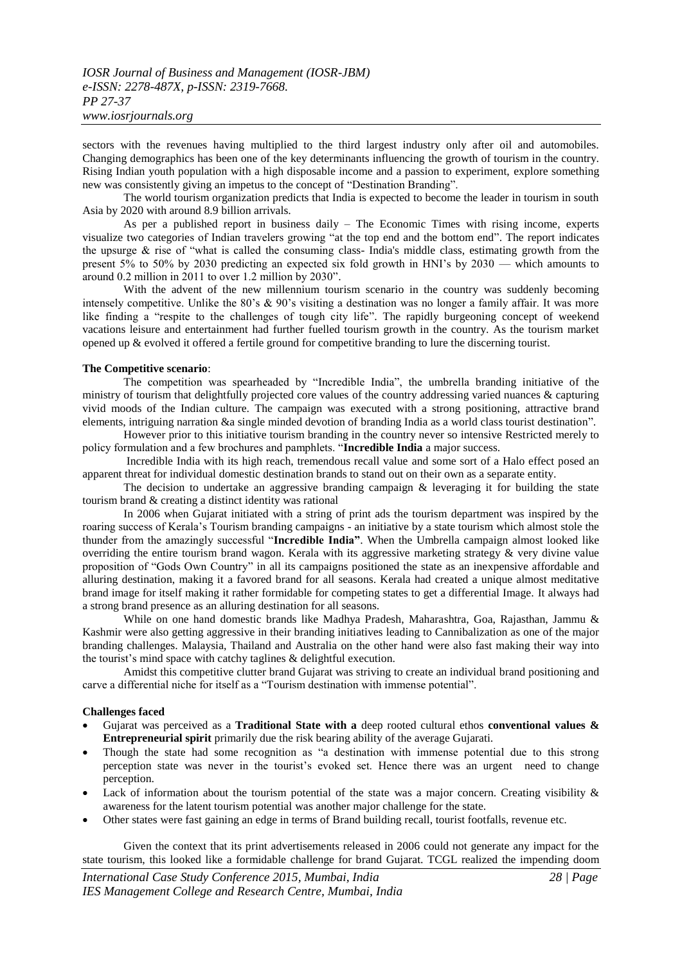sectors with the revenues having multiplied to the third largest industry only after oil and automobiles. Changing demographics has been one of the key determinants influencing the growth of tourism in the country. Rising Indian youth population with a high disposable income and a passion to experiment, explore something new was consistently giving an impetus to the concept of "Destination Branding".

The world tourism organization predicts that India is expected to become the leader in tourism in south Asia by 2020 with around 8.9 billion arrivals.

As per a published report in business daily – The Economic Times with rising income, experts visualize two categories of Indian travelers growing "at the top end and the bottom end". The report indicates the upsurge  $\&$  rise of "what is called the consuming class- India's middle class, estimating growth from the present 5% to 50% by 2030 predicting an expected six fold growth in HNI's by 2030 — which amounts to around  $0.2$  million in  $2011$  to over 1.2 million by  $2030$ ".

With the advent of the new millennium tourism scenario in the country was suddenly becoming intensely competitive. Unlike the 80's & 90's visiting a destination was no longer a family affair. It was more like finding a "respite to the challenges of tough city life". The rapidly burgeoning concept of weekend vacations leisure and entertainment had further fuelled tourism growth in the country. As the tourism market opened up & evolved it offered a fertile ground for competitive branding to lure the discerning tourist.

#### **The Competitive scenario**:

The competition was spearheaded by "Incredible India", the umbrella branding initiative of the ministry of tourism that delightfully projected core values of the country addressing varied nuances & capturing vivid moods of the Indian culture. The campaign was executed with a strong positioning, attractive brand elements, intriguing narration &a single minded devotion of branding India as a world class tourist destination".

However prior to this initiative tourism branding in the country never so intensive Restricted merely to policy formulation and a few brochures and pamphlets. "Incredible India a major success.

Incredible India with its high reach, tremendous recall value and some sort of a Halo effect posed an apparent threat for individual domestic destination brands to stand out on their own as a separate entity.

The decision to undertake an aggressive branding campaign & leveraging it for building the state tourism brand & creating a distinct identity was rational

In 2006 when Gujarat initiated with a string of print ads the tourism department was inspired by the roaring success of Kerala's Tourism branding campaigns - an initiative by a state tourism which almost stole the thunder from the amazingly successful "Incredible India". When the Umbrella campaign almost looked like overriding the entire tourism brand wagon. Kerala with its aggressive marketing strategy  $\&$  very divine value proposition of "Gods Own Country" in all its campaigns positioned the state as an inexpensive affordable and alluring destination, making it a favored brand for all seasons. Kerala had created a unique almost meditative brand image for itself making it rather formidable for competing states to get a differential Image. It always had a strong brand presence as an alluring destination for all seasons.

While on one hand domestic brands like Madhya Pradesh, Maharashtra, Goa, Rajasthan, Jammu & Kashmir were also getting aggressive in their branding initiatives leading to Cannibalization as one of the major branding challenges. Malaysia, Thailand and Australia on the other hand were also fast making their way into the tourist's mind space with catchy taglines & delightful execution.

Amidst this competitive clutter brand Gujarat was striving to create an individual brand positioning and carve a differential niche for itself as a "Tourism destination with immense potential".

#### **Challenges faced**

- Gujarat was perceived as a **Traditional State with a** deep rooted cultural ethos **conventional values & Entrepreneurial spirit** primarily due the risk bearing ability of the average Gujarati.
- Though the state had some recognition as "a destination with immense potential due to this strong perception state was never in the tourist's evoked set. Hence there was an urgent need to change perception.
- Lack of information about the tourism potential of the state was a major concern. Creating visibility  $\&$ awareness for the latent tourism potential was another major challenge for the state.
- Other states were fast gaining an edge in terms of Brand building recall, tourist footfalls, revenue etc.

Given the context that its print advertisements released in 2006 could not generate any impact for the state tourism, this looked like a formidable challenge for brand Gujarat. TCGL realized the impending doom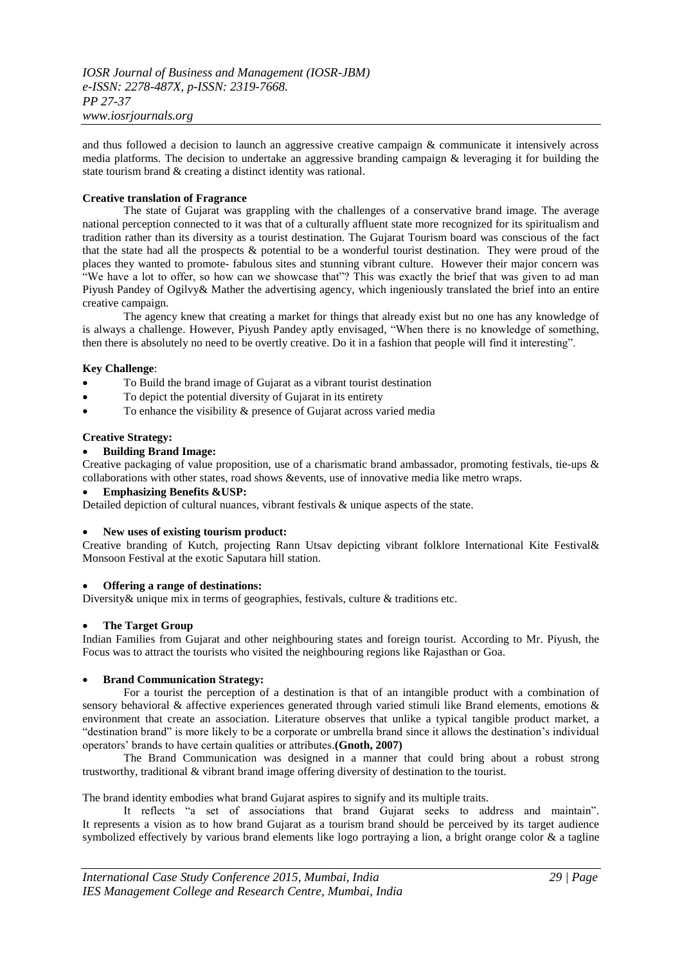and thus followed a decision to launch an aggressive creative campaign & communicate it intensively across media platforms. The decision to undertake an aggressive branding campaign  $\&$  leveraging it for building the state tourism brand & creating a distinct identity was rational.

# **Creative translation of Fragrance**

The state of Gujarat was grappling with the challenges of a conservative brand image. The average national perception connected to it was that of a culturally affluent state more recognized for its spiritualism and tradition rather than its diversity as a tourist destination. The Gujarat Tourism board was conscious of the fact that the state had all the prospects & potential to be a wonderful tourist destination. They were proud of the places they wanted to promote- fabulous sites and stunning vibrant culture. However their major concern was "We have a lot to offer, so how can we showcase that"? This was exactly the brief that was given to ad man Piyush Pandey of Ogilvy& Mather the advertising agency, which ingeniously translated the brief into an entire creative campaign.

The agency knew that creating a market for things that already exist but no one has any knowledge of is always a challenge. However, Piyush Pandey aptly envisaged, "When there is no knowledge of something, then there is absolutely no need to be overtly creative. Do it in a fashion that people will find it interesting".

# **Key Challenge**:

- To Build the brand image of Gujarat as a vibrant tourist destination
- To depict the potential diversity of Gujarat in its entirety
- To enhance the visibility & presence of Gujarat across varied media

### **Creative Strategy:**

# **Building Brand Image:**

Creative packaging of value proposition, use of a charismatic brand ambassador, promoting festivals, tie-ups & collaborations with other states, road shows &events, use of innovative media like metro wraps.

### **Emphasizing Benefits &USP:**

Detailed depiction of cultural nuances, vibrant festivals & unique aspects of the state.

### **New uses of existing tourism product:**

Creative branding of Kutch, projecting Rann Utsav depicting vibrant folklore International Kite Festival& Monsoon Festival at the exotic Saputara hill station.

### **Offering a range of destinations:**

Diversity& unique mix in terms of geographies, festivals, culture & traditions etc.

### **The Target Group**

Indian Families from Gujarat and other neighbouring states and foreign tourist. According to Mr. Piyush, the Focus was to attract the tourists who visited the neighbouring regions like Rajasthan or Goa.

### **Brand Communication Strategy:**

For a tourist the perception of a destination is that of an intangible product with a combination of sensory behavioral & affective experiences generated through varied stimuli like Brand elements, emotions & environment that create an association. Literature observes that unlike a typical tangible product market, a "destination brand" is more likely to be a corporate or umbrella brand since it allows the destination's individual operators' brands to have certain qualities or attributes.**(Gnoth, 2007)**

The Brand Communication was designed in a manner that could bring about a robust strong trustworthy, traditional & vibrant brand image offering diversity of destination to the tourist.

The brand identity embodies what brand Gujarat aspires to signify and its multiple traits.

It reflects "a set of associations that brand Gujarat seeks to address and maintain". It represents a vision as to how brand Gujarat as a tourism brand should be perceived by its target audience symbolized effectively by various brand elements like logo portraying a lion, a bright orange color  $\&$  a tagline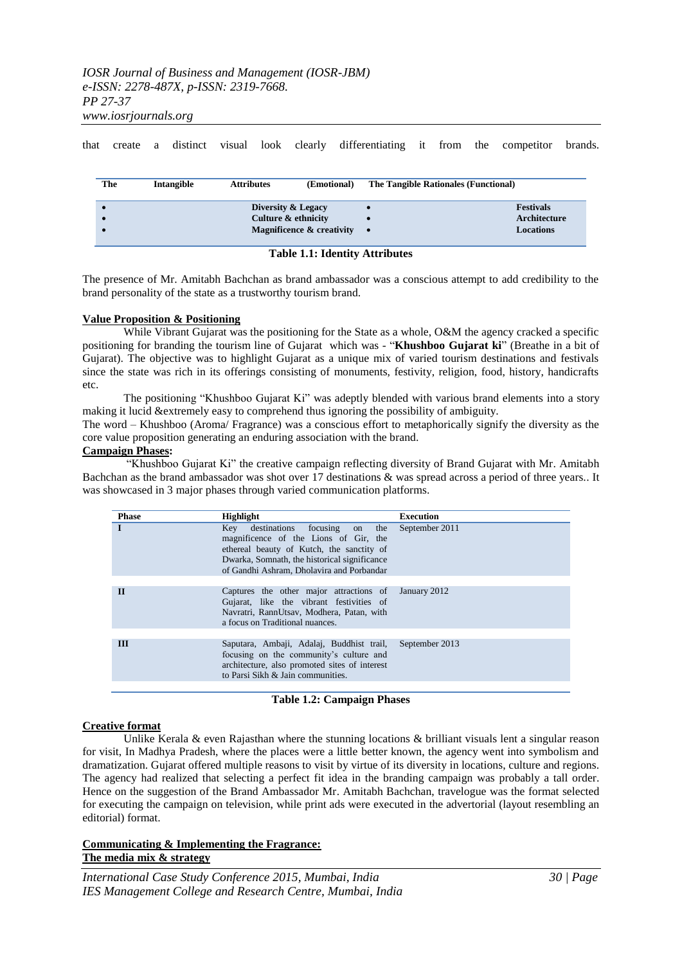that create a distinct visual look clearly differentiating it from the competitor brands.

| The | Intangible                             | <b>Attributes</b><br>(Emotional)          |  | The Tangible Rationales (Functional) |                                  |  |
|-----|----------------------------------------|-------------------------------------------|--|--------------------------------------|----------------------------------|--|
|     |                                        | Diversity & Legacy<br>Culture & ethnicity |  |                                      | <b>Festivals</b><br>Architecture |  |
|     | <b>Magnificence &amp; creativity •</b> |                                           |  | Locations                            |                                  |  |

#### **Table 1.1: Identity Attributes**

The presence of Mr. Amitabh Bachchan as brand ambassador was a conscious attempt to add credibility to the brand personality of the state as a trustworthy tourism brand.

# **Value Proposition & Positioning**

While Vibrant Gujarat was the positioning for the State as a whole, O&M the agency cracked a specific positioning for branding the tourism line of Gujarat which was - "**Khushboo Gujarat ki**" (Breathe in a bit of Gujarat). The objective was to highlight Gujarat as a unique mix of varied tourism destinations and festivals since the state was rich in its offerings consisting of monuments, festivity, religion, food, history, handicrafts etc.

The positioning "Khushboo Gujarat Ki" was adeptly blended with various brand elements into a story making it lucid &extremely easy to comprehend thus ignoring the possibility of ambiguity.

The word – Khushboo (Aroma/ Fragrance) was a conscious effort to metaphorically signify the diversity as the core value proposition generating an enduring association with the brand.

### **Campaign Phases:**

'Khushboo Gujarat Ki" the creative campaign reflecting diversity of Brand Gujarat with Mr. Amitabh Bachchan as the brand ambassador was shot over 17 destinations & was spread across a period of three years.. It was showcased in 3 major phases through varied communication platforms.

| <b>Phase</b> | <b>Highlight</b>                                                                                                                                                                                                       | <b>Execution</b> |
|--------------|------------------------------------------------------------------------------------------------------------------------------------------------------------------------------------------------------------------------|------------------|
|              | destinations focusing on the<br>Key<br>magnificence of the Lions of Gir, the<br>ethereal beauty of Kutch, the sanctity of<br>Dwarka, Somnath, the historical significance<br>of Gandhi Ashram, Dholavira and Porbandar | September 2011   |
| $\mathbf{H}$ | Captures the other major attractions of<br>Gujarat, like the vibrant festivities of<br>Navratri, RannUtsav, Modhera, Patan, with<br>a focus on Traditional nuances.                                                    | January 2012     |
| III          | Saputara, Ambaji, Adalaj, Buddhist trail,<br>focusing on the community's culture and<br>architecture, also promoted sites of interest<br>to Parsi Sikh & Jain communities.                                             | September 2013   |

**Table 1.2: Campaign Phases**

### **Creative format**

Unlike Kerala & even Rajasthan where the stunning locations & brilliant visuals lent a singular reason for visit, In Madhya Pradesh, where the places were a little better known, the agency went into symbolism and dramatization. Gujarat offered multiple reasons to visit by virtue of its diversity in locations, culture and regions. The agency had realized that selecting a perfect fit idea in the branding campaign was probably a tall order. Hence on the suggestion of the Brand Ambassador Mr. Amitabh Bachchan, travelogue was the format selected for executing the campaign on television, while print ads were executed in the advertorial (layout resembling an editorial) format.

# **Communicating & Implementing the Fragrance: The media mix & strategy**

*International Case Study Conference 2015, Mumbai, India 30 | Page IES Management College and Research Centre, Mumbai, India*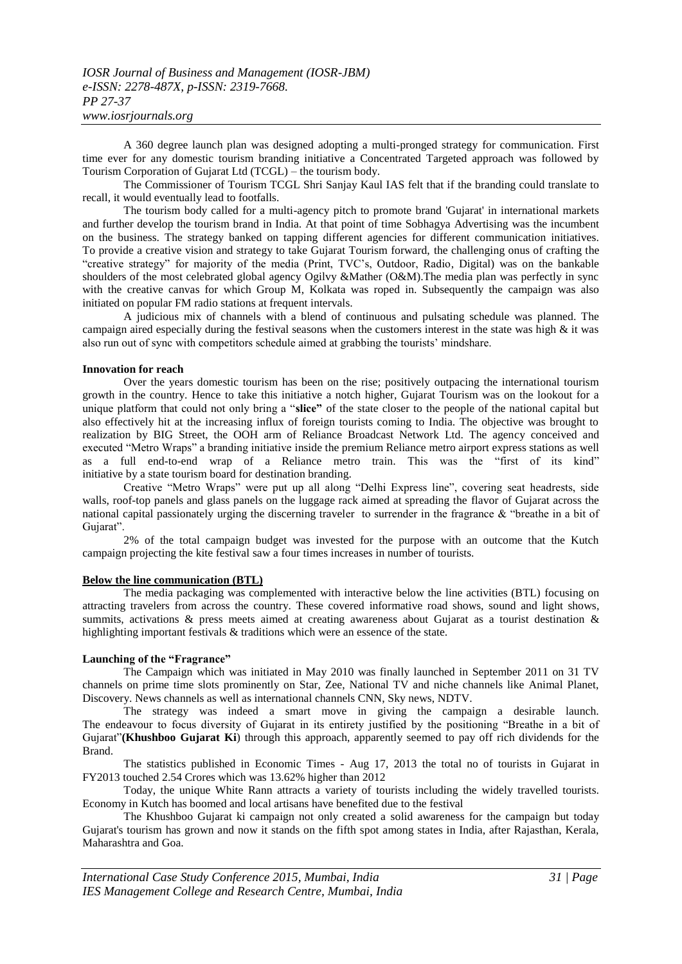A 360 degree launch plan was designed adopting a multi-pronged strategy for communication. First time ever for any domestic tourism branding initiative a Concentrated Targeted approach was followed by Tourism Corporation of Gujarat Ltd (TCGL) – the tourism body.

The Commissioner of Tourism TCGL Shri Sanjay Kaul IAS felt that if the branding could translate to recall, it would eventually lead to footfalls.

The tourism body called for a multi-agency pitch to promote brand 'Gujarat' in international markets and further develop the tourism brand in India. At that point of time Sobhagya Advertising was the incumbent on the business. The strategy banked on tapping different agencies for different communication initiatives. To provide a creative vision and strategy to take Gujarat Tourism forward, the challenging onus of crafting the "creative strategy" for majority of the media (Print, TVC's, Outdoor, Radio, Digital) was on the bankable shoulders of the most celebrated global agency Ogilvy &Mather (O&M).The media plan was perfectly in sync with the creative canvas for which Group M, Kolkata was roped in. Subsequently the campaign was also initiated on popular FM radio stations at frequent intervals.

A judicious mix of channels with a blend of continuous and pulsating schedule was planned. The campaign aired especially during the festival seasons when the customers interest in the state was high & it was also run out of sync with competitors schedule aimed at grabbing the tourists' mindshare.

#### **Innovation for reach**

Over the years domestic tourism has been on the rise; positively outpacing the international tourism growth in the country. Hence to take this initiative a notch higher, Gujarat Tourism was on the lookout for a unique platform that could not only bring a "**slice"** of the state closer to the people of the national capital but also effectively hit at the increasing influx of foreign tourists coming to India. The objective was brought to realization by BIG Street, the OOH arm of Reliance Broadcast Network Ltd. The agency conceived and executed "Metro Wraps" a branding initiative inside the premium Reliance metro airport express stations as well as a full end-to-end wrap of a Reliance metro train. This was the "first of its kind" initiative by a state tourism board for destination branding.

Creative "Metro Wraps" were put up all along "Delhi Express line", covering seat headrests, side walls, roof-top panels and glass panels on the luggage rack aimed at spreading the flavor of Gujarat across the national capital passionately urging the discerning traveler to surrender in the fragrance  $\&$  "breathe in a bit of Gujarat".

2% of the total campaign budget was invested for the purpose with an outcome that the Kutch campaign projecting the kite festival saw a four times increases in number of tourists.

### **Below the line communication (BTL)**

The media packaging was complemented with interactive below the line activities (BTL) focusing on attracting travelers from across the country. These covered informative road shows, sound and light shows, summits, activations & press meets aimed at creating awareness about Gujarat as a tourist destination & highlighting important festivals & traditions which were an essence of the state.

### **Launching of the "Fragrance"**

The Campaign which was initiated in May 2010 was finally launched in September 2011 on 31 TV channels on prime time slots prominently on Star, Zee, National TV and niche channels like Animal Planet, Discovery. News channels as well as international channels CNN, Sky news, NDTV.

The strategy was indeed a smart move in giving the campaign a desirable launch. The endeavour to focus diversity of Gujarat in its entirety justified by the positioning "Breathe in a bit of Gujarat‖**(Khushboo Gujarat Ki**) through this approach, apparently seemed to pay off rich dividends for the Brand.

The statistics published in Economic Times - Aug 17, 2013 the total no of tourists in Gujarat in FY2013 touched 2.54 Crores which was 13.62% higher than 2012

Today, the unique White Rann attracts a variety of tourists including the widely travelled tourists. Economy in Kutch has boomed and local artisans have benefited due to the festival

The Khushboo Gujarat ki campaign not only created a solid awareness for the campaign but today Gujarat's tourism has grown and now it stands on the fifth spot among states in India, after Rajasthan, Kerala, Maharashtra and Goa.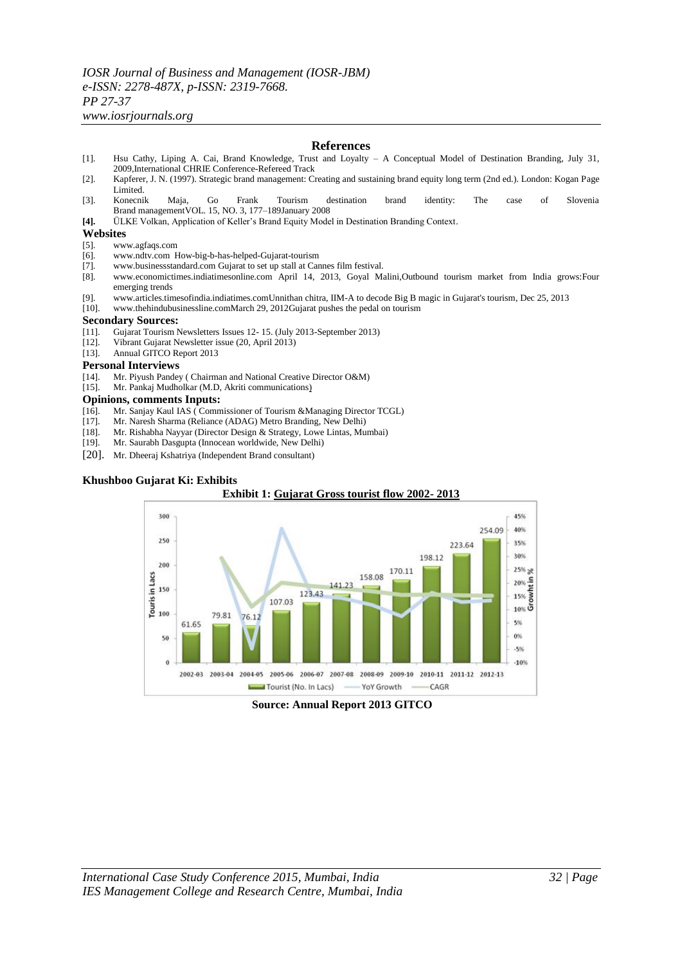*www.iosrjournals.org*

#### **References**

- [1]. Hsu Cathy, Liping A. Cai, Brand Knowledge, Trust and Loyalty A Conceptual Model of Destination Branding, July 31, 2009,International CHRIE Conference-Refereed Track
- [2]. Kapferer, J. N. (1997). Strategic brand management: Creating and sustaining brand equity long term (2nd ed.). London: Kogan Page Limited.
- [3]. Konecnik Maja, Go Frank Tourism destination brand identity: The case of Slovenia Brand managementVOL. 15, NO. 3, 177–189January 2008
- **[4].** ÜLKE Volkan, Application of Keller's Brand Equity Model in Destination Branding Context.

#### **Websites**

- [5]. [www.agfaqs.com](http://www.agfaqs.com/)
- [6]. www.ndtv.com How-big-b-has-helped-Gujarat-tourism
- [7]. [www.businessstandard.com](http://www.businessstandard.com/) Gujarat to set up stall at Cannes film festival.
- [8]. [www.economictimes.indiatimesonline.com](http://www.economictimes.indiatimesonline.com/) April 14, 2013, Goyal Malini,Outbound tourism market from India grows:Four emerging trends
- [9]. www.articles.timesofindia.indiatimes.comUnnitha[n chitra,](http://timesofindia.indiatimes.com/toireporter/author-Chitra-Unnithan.cms) IIM-A to decode Big B magic in Gujarat's tourism, Dec 25, 2013
- [10]. www.thehindubusinessline.comMarch 29, 2012Gujarat pushes the pedal on tourism

#### **Secondary Sources:**

- [11]. Gujarat Tourism Newsletters Issues 12- 15. (July 2013-September 2013)
- [12]. Vibrant Gujarat Newsletter issue (20, April 2013)
- [13]. Annual GITCO Report 2013

#### **Personal Interviews**

- [14]. Mr. Piyush Pandey ( Chairman and National Creative Director O&M)
- [15]. Mr. Pankaj Mudholkar (M.D, Akriti communications)

#### **Opinions, comments Inputs:**

- [16]. Mr. Sanjay Kaul IAS ( Commissioner of Tourism &Managing Director TCGL)
- [17]. Mr. Naresh Sharma (Reliance (ADAG) Metro Branding, New Delhi)
- [18]. Mr. Rishabha Nayyar (Director Design & Strategy, Lowe Lintas, Mumbai)
- [19]. Mr. Saurabh Dasgupta (Innocean worldwide, New Delhi)
- [20]. Mr. Dheeraj Kshatriya (Independent Brand consultant)

#### **Khushboo Gujarat Ki: Exhibits**



**Source: Annual Report 2013 GITCO**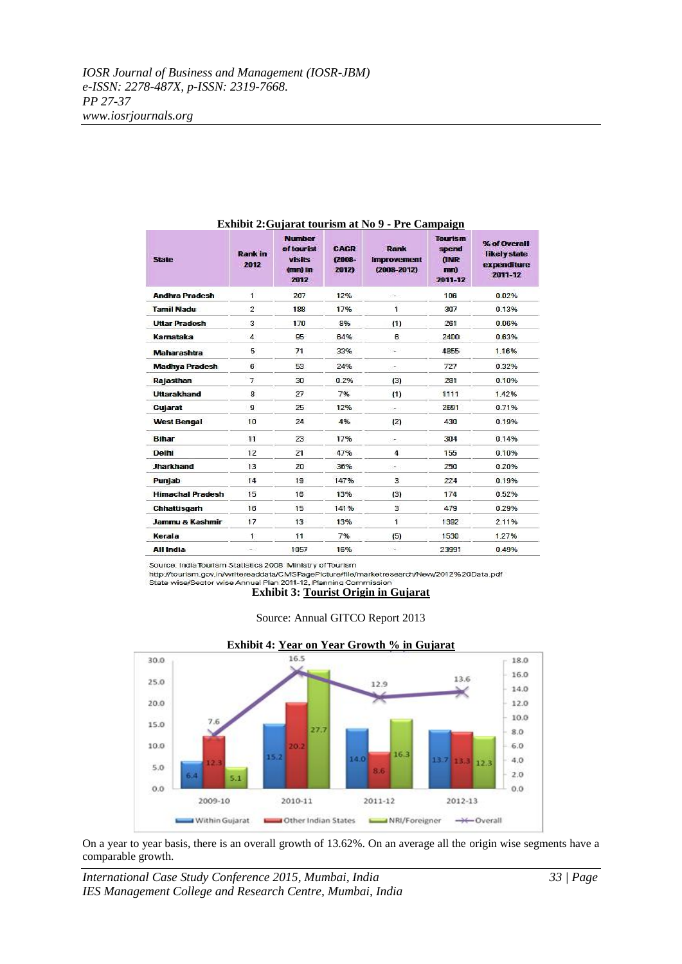| <b>State</b>            | <b>Rank in</b><br>2012   | <b>Number</b><br>of tourist<br>visits<br>(mn) in<br>2012 | <b>CAGR</b><br>$(2008 -$<br>2012) | Rank<br><b>improvement</b><br>$(2008 - 2012)$ | <b>Tourism</b><br>spend<br><b>GNR</b><br>mm)<br>2011-12 | % of Overall<br>likely state<br>expenditure<br>2011-12 |
|-------------------------|--------------------------|----------------------------------------------------------|-----------------------------------|-----------------------------------------------|---------------------------------------------------------|--------------------------------------------------------|
| <b>Andhra Pradesh</b>   | 1                        | 207                                                      | 12%                               | is.                                           | 106                                                     | 0.02%                                                  |
| <b>Tamil Nadu</b>       | $\overline{2}$           | 188                                                      | 17%                               | 1                                             | 307                                                     | 0.13%                                                  |
| <b>Uttar Pradesh</b>    | 3                        | 170                                                      | 8%                                | (1)                                           | 261                                                     | 0.06%                                                  |
| Karnataka               | $\overline{4}$           | 95                                                       | 64%                               | 6                                             | 2400                                                    | 0.63%                                                  |
| <b>Maharashtra</b>      | 5                        | 71                                                       | 33%                               | 32                                            | 4855                                                    | 1.16%                                                  |
| <b>Madhya Pradesh</b>   | 6                        | 53                                                       | 24%                               | ÷                                             | 727                                                     | 0.32%                                                  |
| Rajasthan               | $\overline{1}$           | 30                                                       | 0.2%                              | (3)                                           | 281                                                     | 0.10%                                                  |
| <b>Uttarakhand</b>      | 8                        | 27                                                       | 7%                                | (1)                                           | 1111                                                    | 1.42%                                                  |
| Gujarat                 | $\overline{9}$           | 25                                                       | 12%                               | المستوفي                                      | 2691                                                    | 0.71%                                                  |
| <b>West Bengal</b>      | 10                       | 24                                                       | 4%                                | (2)                                           | 430                                                     | 0.19%                                                  |
| <b>Bihar</b>            | 11                       | 23                                                       | 17%                               | -                                             | 304                                                     | 0.14%                                                  |
| <b>Delhi</b>            | 12                       | 21                                                       | 47%                               | 4                                             | 155                                                     | 0.10%                                                  |
| <b>Jharkhand</b>        | 13                       | 20                                                       | 36%                               | ÷.                                            | 250                                                     | 0.20%                                                  |
| Punjab                  | 14                       | 19                                                       | 147%                              | 3                                             | 224                                                     | 0.19%                                                  |
| <b>Himachal Pradesh</b> | 15                       | 16                                                       | 13%                               | (3)                                           | 174                                                     | 0.52%                                                  |
| Chhattisgarh            | 16                       | 15                                                       | 141%                              | 3                                             | 479                                                     | 0.29%                                                  |
| Jammu & Kashmir         | 17                       | 13                                                       | 13%                               | 1                                             | 1392                                                    | 2.11%                                                  |
| Kerala                  | $\mathbf{f}$             | 11                                                       | 7%                                | (5)                                           | 1530                                                    | 1.27%                                                  |
| All India               | $\overline{\phantom{a}}$ | 1057                                                     | 16%                               | ٠                                             | 23991                                                   | 0.49%                                                  |

# **Exhibit 2:Gujarat tourism at No 9 - Pre Campaign**

Source: India Tourism Statistics 2008 Ministry of Tourism

Source: Interview and State Warehouse **All and State Warehouse Control in the Metal State Warehouse Annual Plan 2011-12. Planning Commission**<br>State wise/Sector wise Annual Plan 2011-12. Planning Commission<br>Exhibit 3: <u>Tour</u>



Source: Annual GITCO Report 2013

On a year to year basis, there is an overall growth of 13.62%. On an average all the origin wise segments have a comparable growth.

*International Case Study Conference 2015, Mumbai, India 33 | Page IES Management College and Research Centre, Mumbai, India*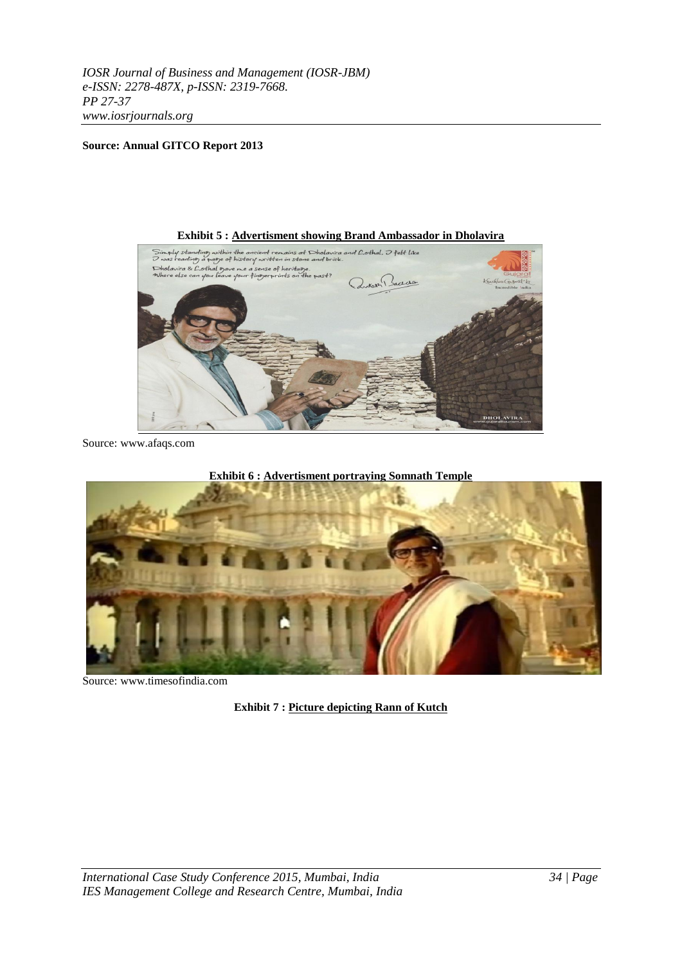**Source: Annual GITCO Report 2013**



Source: www.afaqs.com



**Exhibit 6 : Advertisment portraying Somnath Temple**

Source: www.timesofindia.com

**Exhibit 7 : Picture depicting Rann of Kutch**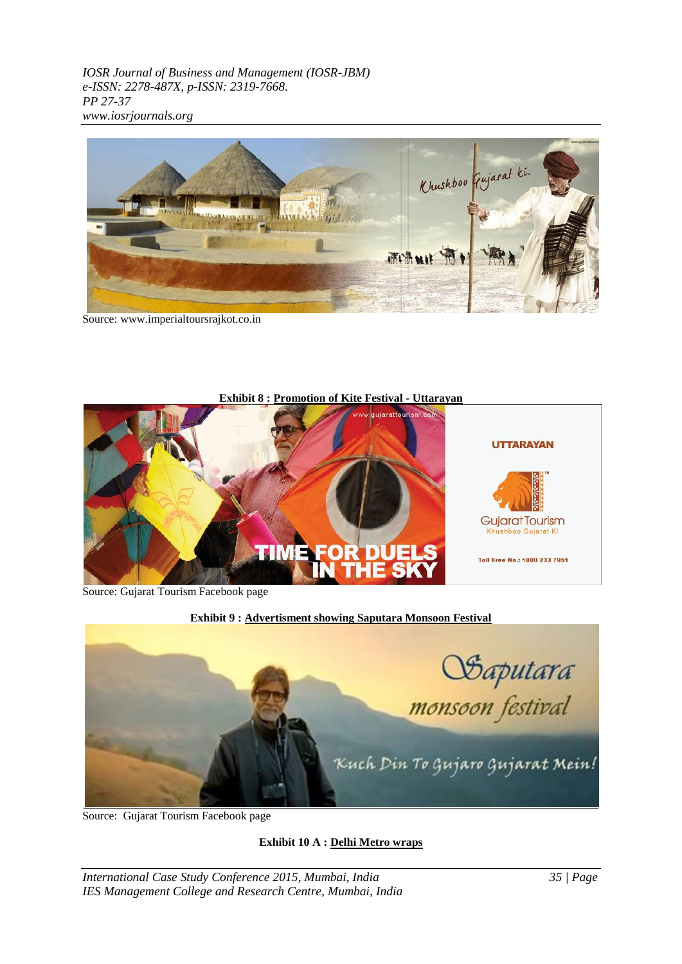

### Source: www.imperialtoursrajkot.co.in



**Exhibit 8 : Promotion of Kite Festival - Uttarayan**

Source: Gujarat Tourism Facebook page





Source: Gujarat Tourism Facebook page

**Exhibit 10 A : Delhi Metro wraps**

*International Case Study Conference 2015, Mumbai, India 35 | Page IES Management College and Research Centre, Mumbai, India*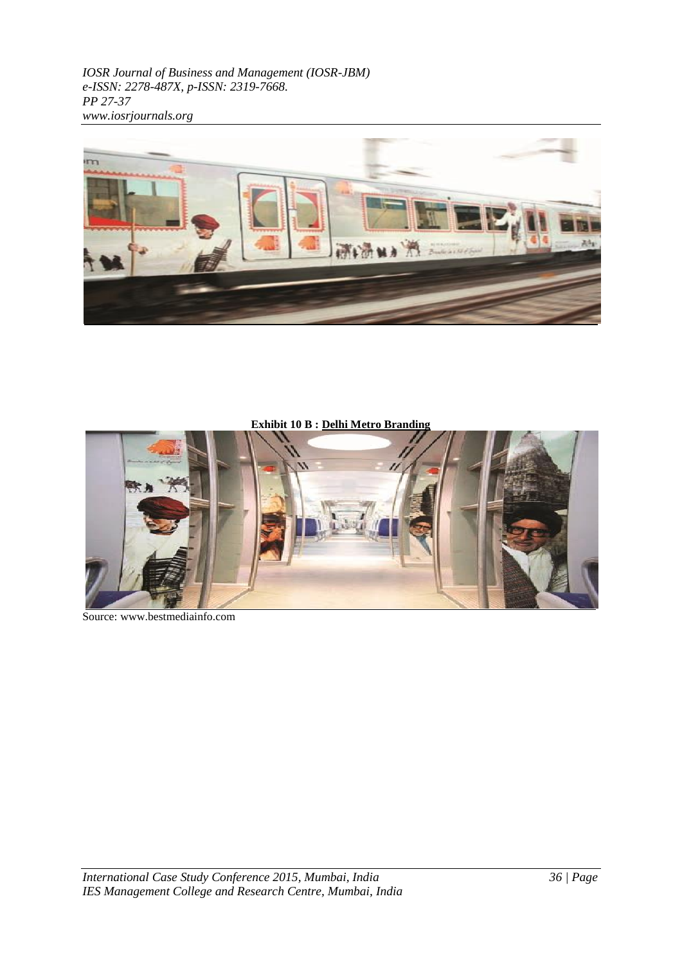

**Exhibit 10 B : Delhi Metro Branding**



Source: www.bestmediainfo.com